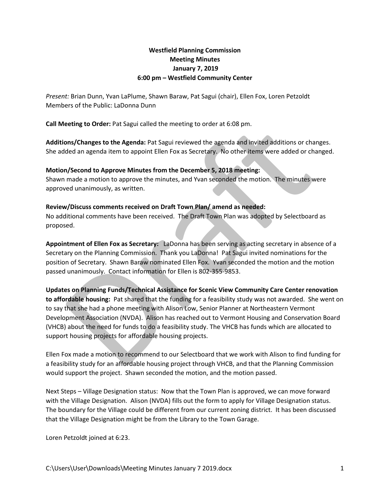# **Westfield Planning Commission Meeting Minutes January 7, 2019 6:00 pm – Westfield Community Center**

*Present:* Brian Dunn, Yvan LaPlume, Shawn Baraw, Pat Sagui (chair), Ellen Fox, Loren Petzoldt Members of the Public: LaDonna Dunn

**Call Meeting to Order:** Pat Sagui called the meeting to order at 6:08 pm.

**Additions/Changes to the Agenda:** Pat Sagui reviewed the agenda and invited additions or changes. She added an agenda item to appoint Ellen Fox as Secretary. No other items were added or changed.

#### **Motion/Second to Approve Minutes from the December 5, 2018 meeting:**

Shawn made a motion to approve the minutes, and Yvan seconded the motion. The minutes were approved unanimously, as written.

#### **Review/Discuss comments received on Draft Town Plan/ amend as needed:**

No additional comments have been received. The Draft Town Plan was adopted by Selectboard as proposed.

**Appointment of Ellen Fox as Secretary:** LaDonna has been serving as acting secretary in absence of a Secretary on the Planning Commission. Thank you LaDonna! Pat Sagui invited nominations for the position of Secretary. Shawn Baraw nominated Ellen Fox. Yvan seconded the motion and the motion passed unanimously. Contact information for Ellen is 802-355-9853.

## **Updates on Planning Funds/Technical Assistance for Scenic View Community Care Center renovation**

**to affordable housing:** Pat shared that the funding for a feasibility study was not awarded. She went on to say that she had a phone meeting with Alison Low, Senior Planner at Northeastern Vermont Development Association (NVDA). Alison has reached out to Vermont Housing and Conservation Board (VHCB) about the need for funds to do a feasibility study. The VHCB has funds which are allocated to support housing projects for affordable housing projects.

Ellen Fox made a motion to recommend to our Selectboard that we work with Alison to find funding for a feasibility study for an affordable housing project through VHCB, and that the Planning Commission would support the project. Shawn seconded the motion, and the motion passed.

Next Steps – Village Designation status: Now that the Town Plan is approved, we can move forward with the Village Designation. Alison (NVDA) fills out the form to apply for Village Designation status. The boundary for the Village could be different from our current zoning district. It has been discussed that the Village Designation might be from the Library to the Town Garage.

Loren Petzoldt joined at 6:23.